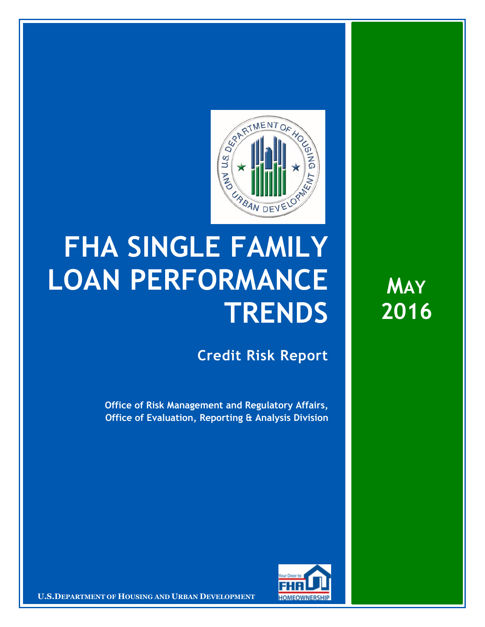

## **FHA SINGLE FAMILY LOAN PERFORMANCE TRENDS**

**Credit Risk Report**

**Office of Risk Management and Regulatory Affairs, Office of Evaluation, Reporting & Analysis Division** 



**U.S.DEPARTMENT OF HOUSING AND URBAN DEVELOPMENT <b>FOMEOWNERSHIP** 

**MAY 2016**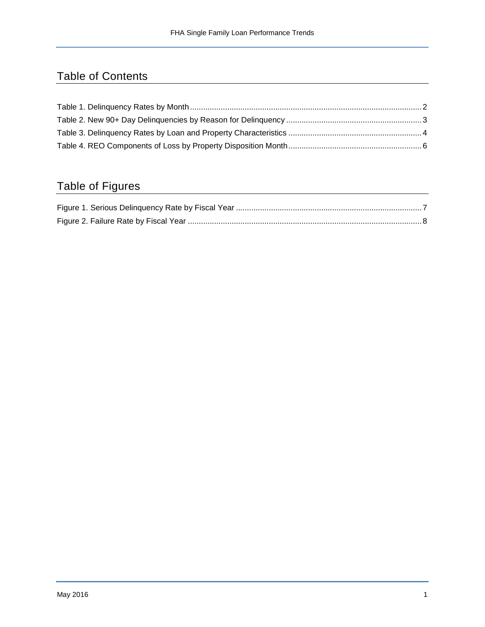## Table of Contents

## Table of Figures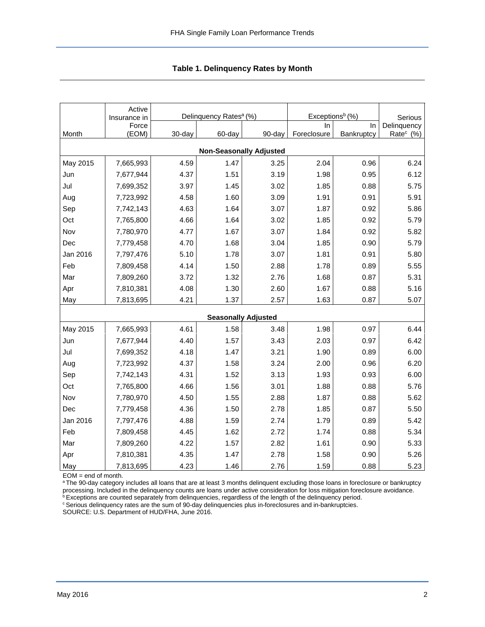<span id="page-2-0"></span>

|                                | Active<br>Insurance in |        | Delinquency Rates <sup>a</sup> (%) |        | Exceptions <sup>b</sup> (%) | Serious    |                       |  |  |  |  |
|--------------------------------|------------------------|--------|------------------------------------|--------|-----------------------------|------------|-----------------------|--|--|--|--|
|                                | Force                  |        |                                    |        | In                          | In         | Delinquency           |  |  |  |  |
| Month                          | (EOM)                  | 30-day | 60-day                             | 90-day | Foreclosure                 | Bankruptcy | Rate <sup>c</sup> (%) |  |  |  |  |
| <b>Non-Seasonally Adjusted</b> |                        |        |                                    |        |                             |            |                       |  |  |  |  |
| May 2015                       | 7,665,993              | 4.59   | 1.47                               | 3.25   | 2.04                        | 0.96       | 6.24                  |  |  |  |  |
| Jun                            | 7,677,944              | 4.37   | 1.51                               | 3.19   | 1.98                        | 0.95       | 6.12                  |  |  |  |  |
| Jul                            | 7,699,352              | 3.97   | 1.45                               | 3.02   | 1.85                        | 0.88       | 5.75                  |  |  |  |  |
| Aug                            | 7,723,992              | 4.58   | 1.60                               | 3.09   | 1.91                        | 0.91       | 5.91                  |  |  |  |  |
| Sep                            | 7,742,143              | 4.63   | 1.64                               | 3.07   | 1.87                        | 0.92       | 5.86                  |  |  |  |  |
| Oct                            | 7,765,800              | 4.66   | 1.64                               | 3.02   | 1.85                        | 0.92       | 5.79                  |  |  |  |  |
| Nov                            | 7,780,970              | 4.77   | 1.67                               | 3.07   | 1.84                        | 0.92       | 5.82                  |  |  |  |  |
| Dec                            | 7,779,458              | 4.70   | 1.68                               | 3.04   | 1.85                        | 0.90       | 5.79                  |  |  |  |  |
| Jan 2016                       | 7,797,476              | 5.10   | 1.78                               | 3.07   | 1.81                        | 0.91       | 5.80                  |  |  |  |  |
| Feb                            | 7,809,458              | 4.14   | 1.50                               | 2.88   | 1.78                        | 0.89       | 5.55                  |  |  |  |  |
| Mar                            | 7,809,260              | 3.72   | 1.32                               | 2.76   | 1.68                        | 0.87       | 5.31                  |  |  |  |  |
| Apr                            | 7,810,381              | 4.08   | 1.30                               | 2.60   | 1.67                        | 0.88       | 5.16                  |  |  |  |  |
| May                            | 7,813,695              | 4.21   | 1.37                               | 2.57   | 1.63                        | 0.87       | 5.07                  |  |  |  |  |
|                                |                        |        | <b>Seasonally Adjusted</b>         |        |                             |            |                       |  |  |  |  |
| May 2015                       | 7,665,993              | 4.61   | 1.58                               | 3.48   | 1.98                        | 0.97       | 6.44                  |  |  |  |  |
| Jun                            | 7,677,944              | 4.40   | 1.57                               | 3.43   | 2.03                        | 0.97       | 6.42                  |  |  |  |  |
| Jul                            | 7,699,352              | 4.18   | 1.47                               | 3.21   | 1.90                        | 0.89       | 6.00                  |  |  |  |  |
| Aug                            | 7,723,992              | 4.37   | 1.58                               | 3.24   | 2.00                        | 0.96       | 6.20                  |  |  |  |  |
| Sep                            | 7,742,143              | 4.31   | 1.52                               | 3.13   | 1.93                        | 0.93       | 6.00                  |  |  |  |  |
| Oct                            | 7,765,800              | 4.66   | 1.56                               | 3.01   | 1.88                        | 0.88       | 5.76                  |  |  |  |  |
| Nov                            | 7,780,970              | 4.50   | 1.55                               | 2.88   | 1.87                        | 0.88       | 5.62                  |  |  |  |  |
| Dec                            | 7,779,458              | 4.36   | 1.50                               | 2.78   | 1.85                        | 0.87       | 5.50                  |  |  |  |  |
| Jan 2016                       | 7,797,476              | 4.88   | 1.59                               | 2.74   | 1.79                        | 0.89       | 5.42                  |  |  |  |  |
| Feb                            | 7,809,458              | 4.45   | 1.62                               | 2.72   | 1.74                        | 0.88       | 5.34                  |  |  |  |  |
| Mar                            | 7,809,260              | 4.22   | 1.57                               | 2.82   | 1.61                        | 0.90       | 5.33                  |  |  |  |  |
| Apr                            | 7,810,381              | 4.35   | 1.47                               | 2.78   | 1.58                        | 0.90       | 5.26                  |  |  |  |  |
| May                            | 7,813,695              | 4.23   | 1.46                               | 2.76   | 1.59                        | 0.88       | 5.23                  |  |  |  |  |

EOM = end of month.

<sup>a</sup>The 90-day category includes all loans that are at least 3 months delinquent excluding those loans in foreclosure or bankruptcy processing. Included in the delinquency counts are loans under active consideration for loss mitigation foreclosure avoidance.

 $b$  Exceptions are counted separately from delinquencies, regardless of the length of the delinquency period. completion are search completely in the sum of 90-day delinquencies plus in-foreclosures and in-bankruptcies.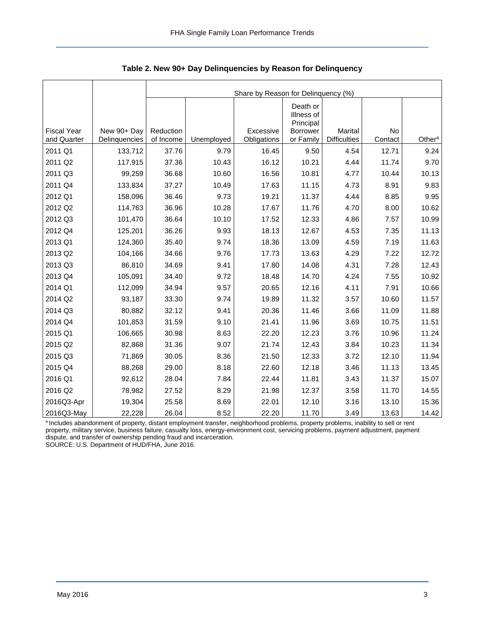<span id="page-3-0"></span>

|                                   |                              | Share by Reason for Delinquency (%) |            |                          |                                     |                                |               |                    |  |  |  |  |
|-----------------------------------|------------------------------|-------------------------------------|------------|--------------------------|-------------------------------------|--------------------------------|---------------|--------------------|--|--|--|--|
|                                   |                              |                                     |            |                          | Death or<br>Illness of<br>Principal |                                |               |                    |  |  |  |  |
| <b>Fiscal Year</b><br>and Quarter | New 90+ Day<br>Delinquencies | Reduction<br>of Income              | Unemployed | Excessive<br>Obligations | Borrower<br>or Family               | Marital<br><b>Difficulties</b> | No<br>Contact | Other <sup>a</sup> |  |  |  |  |
| 2011 Q1                           | 133,712                      | 37.76                               | 9.79       | 16.45                    | 9.50                                | 4.54                           | 12.71         | 9.24               |  |  |  |  |
| 2011 Q2                           | 117,915                      | 37.36                               | 10.43      | 16.12                    | 10.21                               | 4.44                           | 11.74         | 9.70               |  |  |  |  |
| 2011 Q3                           | 99,259                       | 36.68                               | 10.60      | 16.56                    | 10.81                               | 4.77                           | 10.44         | 10.13              |  |  |  |  |
| 2011 Q4                           | 133,834                      | 37.27                               | 10.49      | 17.63                    | 11.15                               | 4.73                           | 8.91          | 9.83               |  |  |  |  |
| 2012 Q1                           | 158,096                      | 36.46                               | 9.73       | 19.21                    | 11.37                               | 4.44                           | 8.85          | 9.95               |  |  |  |  |
| 2012 Q2                           | 114,763                      | 36.96                               | 10.28      | 17.67                    | 11.76                               | 4.70                           | 8.00          | 10.62              |  |  |  |  |
| 2012 Q3                           | 101,470                      | 36.64                               | 10.10      | 17.52                    | 12.33                               | 4.86                           | 7.57          | 10.99              |  |  |  |  |
| 2012 Q4                           | 125,201                      | 36.26                               | 9.93       | 18.13                    | 12.67                               | 4.53                           | 7.35          | 11.13              |  |  |  |  |
| 2013 Q1                           | 124,360                      | 35.40                               | 9.74       | 18.36                    | 13.09                               | 4.59                           | 7.19          | 11.63              |  |  |  |  |
| 2013 Q2                           | 104,166                      | 34.66                               | 9.76       | 17.73                    | 13.63                               | 4.29                           | 7.22          | 12.72              |  |  |  |  |
| 2013 Q3                           | 86,810                       | 34.69                               | 9.41       | 17.80                    | 14.08                               | 4.31                           | 7.28          | 12.43              |  |  |  |  |
| 2013 Q4                           | 105,091                      | 34.40                               | 9.72       | 18.48                    | 14.70                               | 4.24                           | 7.55          | 10.92              |  |  |  |  |
| 2014 Q1                           | 112,099                      | 34.94                               | 9.57       | 20.65                    | 12.16                               | 4.11                           | 7.91          | 10.66              |  |  |  |  |
| 2014 Q2                           | 93,187                       | 33.30                               | 9.74       | 19.89                    | 11.32                               | 3.57                           | 10.60         | 11.57              |  |  |  |  |
| 2014 Q3                           | 80,882                       | 32.12                               | 9.41       | 20.36                    | 11.46                               | 3.66                           | 11.09         | 11.88              |  |  |  |  |
| 2014 Q4                           | 101,853                      | 31.59                               | 9.10       | 21.41                    | 11.96                               | 3.69                           | 10.75         | 11.51              |  |  |  |  |
| 2015 Q1                           | 106,665                      | 30.98                               | 8.63       | 22.20                    | 12.23                               | 3.76                           | 10.96         | 11.24              |  |  |  |  |
| 2015 Q2                           | 82,868                       | 31.36                               | 9.07       | 21.74                    | 12.43                               | 3.84                           | 10.23         | 11.34              |  |  |  |  |
| 2015 Q3                           | 71,869                       | 30.05                               | 8.36       | 21.50                    | 12.33                               | 3.72                           | 12.10         | 11.94              |  |  |  |  |
| 2015 Q4                           | 88,268                       | 29.00                               | 8.18       | 22.60                    | 12.18                               | 3.46                           | 11.13         | 13.45              |  |  |  |  |
| 2016 Q1                           | 92,612                       | 28.04                               | 7.84       | 22.44                    | 11.81                               | 3.43                           | 11.37         | 15.07              |  |  |  |  |
| 2016 Q2                           | 78,982                       | 27.52                               | 8.29       | 21.98                    | 12.37                               | 3.58                           | 11.70         | 14.55              |  |  |  |  |
| 2016Q3-Apr                        | 19,304                       | 25.58                               | 8.69       | 22.01                    | 12.10                               | 3.16                           | 13.10         | 15.36              |  |  |  |  |
| 2016Q3-May                        | 22,228                       | 26.04                               | 8.52       | 22.20                    | 11.70                               | 3.49                           | 13.63         | 14.42              |  |  |  |  |

<span id="page-3-1"></span>**Table 2. New 90+ Day Delinquencies by Reason for Delinquency** 

a Includes abandonment of property, distant employment transfer, neighborhood problems, property problems, inability to sell or rent property, military service, business failure, casualty loss, energy-environment cost, servicing problems, payment adjustment, payment dispute, and transfer of ownership pending fraud and incarceration.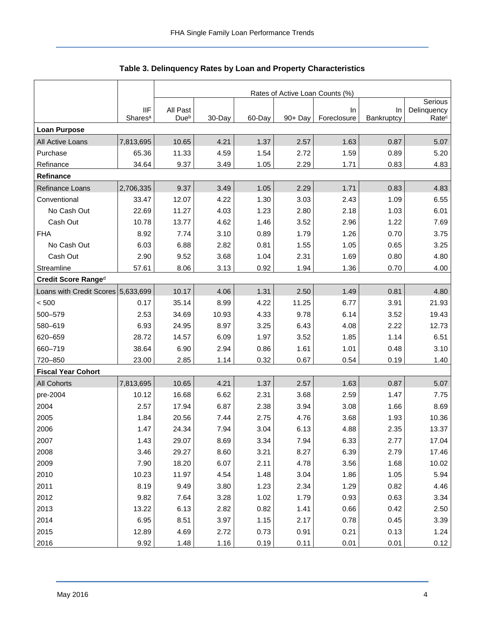<span id="page-4-0"></span>

|                                    |                                   | Rates of Active Loan Counts (%) |        |        |            |                   |                  |                                  |  |  |  |
|------------------------------------|-----------------------------------|---------------------------------|--------|--------|------------|-------------------|------------------|----------------------------------|--|--|--|
|                                    |                                   |                                 |        |        |            |                   |                  | Serious                          |  |  |  |
|                                    | <b>IIF</b><br>Shares <sup>a</sup> | All Past<br>Dueb                | 30-Day | 60-Day | $90 + Day$ | In<br>Foreclosure | In<br>Bankruptcy | Delinquency<br>Rate <sup>c</sup> |  |  |  |
| <b>Loan Purpose</b>                |                                   |                                 |        |        |            |                   |                  |                                  |  |  |  |
| All Active Loans                   | 7,813,695                         | 10.65                           | 4.21   | 1.37   | 2.57       | 1.63              | 0.87             | 5.07                             |  |  |  |
| Purchase                           | 65.36                             | 11.33                           | 4.59   | 1.54   | 2.72       | 1.59              | 0.89             | 5.20                             |  |  |  |
| Refinance                          | 34.64                             | 9.37                            | 3.49   | 1.05   | 2.29       | 1.71              | 0.83             | 4.83                             |  |  |  |
| Refinance                          |                                   |                                 |        |        |            |                   |                  |                                  |  |  |  |
| Refinance Loans                    | 2,706,335                         | 9.37                            | 3.49   | 1.05   | 2.29       | 1.71              | 0.83             | 4.83                             |  |  |  |
| Conventional                       | 33.47                             | 12.07                           | 4.22   | 1.30   | 3.03       | 2.43              | 1.09             | 6.55                             |  |  |  |
| No Cash Out                        | 22.69                             | 11.27                           | 4.03   | 1.23   | 2.80       | 2.18              | 1.03             | 6.01                             |  |  |  |
| Cash Out                           | 10.78                             | 13.77                           | 4.62   | 1.46   | 3.52       | 2.96              | 1.22             | 7.69                             |  |  |  |
| <b>FHA</b>                         | 8.92                              | 7.74                            | 3.10   | 0.89   | 1.79       | 1.26              | 0.70             | 3.75                             |  |  |  |
| No Cash Out                        | 6.03                              | 6.88                            | 2.82   | 0.81   | 1.55       | 1.05              | 0.65             | 3.25                             |  |  |  |
| Cash Out                           | 2.90                              | 9.52                            | 3.68   | 1.04   | 2.31       | 1.69              | 0.80             | 4.80                             |  |  |  |
| Streamline                         | 57.61                             | 8.06                            | 3.13   | 0.92   | 1.94       | 1.36              | 0.70             | 4.00                             |  |  |  |
| Credit Score Ranged                |                                   |                                 |        |        |            |                   |                  |                                  |  |  |  |
| Loans with Credit Scores 5,633,699 |                                   | 10.17                           | 4.06   | 1.31   | 2.50       | 1.49              | 0.81             | 4.80                             |  |  |  |
| < 500                              | 0.17                              | 35.14                           | 8.99   | 4.22   | 11.25      | 6.77              | 3.91             | 21.93                            |  |  |  |
| 500-579                            | 2.53                              | 34.69                           | 10.93  | 4.33   | 9.78       | 6.14              | 3.52             | 19.43                            |  |  |  |
| 580-619                            | 6.93                              | 24.95                           | 8.97   | 3.25   | 6.43       | 4.08              | 2.22             | 12.73                            |  |  |  |
| 620-659                            | 28.72                             | 14.57                           | 6.09   | 1.97   | 3.52       | 1.85              | 1.14             | 6.51                             |  |  |  |
| 660-719                            | 38.64                             | 6.90                            | 2.94   | 0.86   | 1.61       | 1.01              | 0.48             | 3.10                             |  |  |  |
| 720-850                            | 23.00                             | 2.85                            | 1.14   | 0.32   | 0.67       | 0.54              | 0.19             | 1.40                             |  |  |  |
| <b>Fiscal Year Cohort</b>          |                                   |                                 |        |        |            |                   |                  |                                  |  |  |  |
| All Cohorts                        | 7,813,695                         | 10.65                           | 4.21   | 1.37   | 2.57       | 1.63              | 0.87             | 5.07                             |  |  |  |
| pre-2004                           | 10.12                             | 16.68                           | 6.62   | 2.31   | 3.68       | 2.59              | 1.47             | 7.75                             |  |  |  |
| 2004                               | 2.57                              | 17.94                           | 6.87   | 2.38   | 3.94       | 3.08              | 1.66             | 8.69                             |  |  |  |
| 2005                               | 1.84                              | 20.56                           | 7.44   | 2.75   | 4.76       | 3.68              | 1.93             | 10.36                            |  |  |  |
| 2006                               | 1.47                              | 24.34                           | 7.94   | 3.04   | 6.13       | 4.88              | 2.35             | 13.37                            |  |  |  |
| 2007                               | 1.43                              | 29.07                           | 8.69   | 3.34   | 7.94       | 6.33              | 2.77             | 17.04                            |  |  |  |
| 2008                               | 3.46                              | 29.27                           | 8.60   | 3.21   | 8.27       | 6.39              | 2.79             | 17.46                            |  |  |  |
| 2009                               | 7.90                              | 18.20                           | 6.07   | 2.11   | 4.78       | 3.56              | 1.68             | 10.02                            |  |  |  |
| 2010                               | 10.23                             | 11.97                           | 4.54   | 1.48   | 3.04       | 1.86              | 1.05             | 5.94                             |  |  |  |
| 2011                               | 8.19                              | 9.49                            | 3.80   | 1.23   | 2.34       | 1.29              | 0.82             | 4.46                             |  |  |  |
| 2012                               | 9.82                              | 7.64                            | 3.28   | 1.02   | 1.79       | 0.93              | 0.63             | 3.34                             |  |  |  |
| 2013                               | 13.22                             | 6.13                            | 2.82   | 0.82   | 1.41       | 0.66              | 0.42             | 2.50                             |  |  |  |
| 2014                               | 6.95                              | 8.51                            | 3.97   | 1.15   | 2.17       | 0.78              | 0.45             | 3.39                             |  |  |  |
| 2015                               | 12.89                             | 4.69                            | 2.72   | 0.73   | 0.91       | 0.21              | 0.13             | 1.24                             |  |  |  |
| 2016                               | 9.92                              | 1.48                            | 1.16   | 0.19   | 0.11       | 0.01              | 0.01             | 0.12                             |  |  |  |

<span id="page-4-1"></span>**Table 3. Delinquency Rates by Loan and Property Characteristics**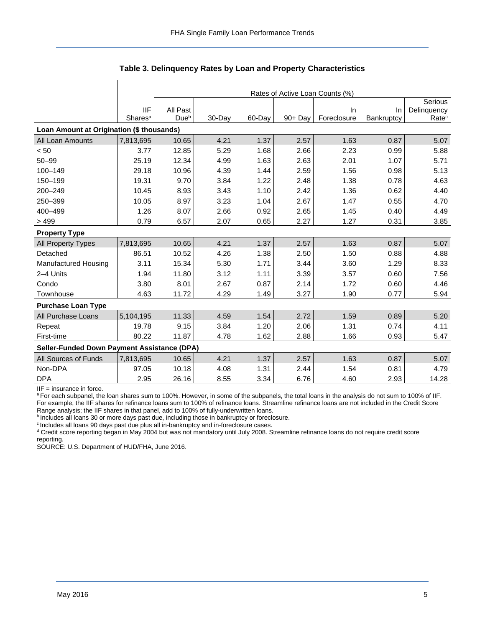|                                             |                     | Rates of Active Loan Counts (%) |         |        |            |             |            |                   |  |  |  |  |
|---------------------------------------------|---------------------|---------------------------------|---------|--------|------------|-------------|------------|-------------------|--|--|--|--|
|                                             |                     |                                 | Serious |        |            |             |            |                   |  |  |  |  |
|                                             | <b>IIF</b>          | All Past                        |         |        |            | In.         | <b>In</b>  | Delinquency       |  |  |  |  |
|                                             | Shares <sup>a</sup> | Due <sup>b</sup>                | 30-Day  | 60-Day | $90 + Day$ | Foreclosure | Bankruptcy | Rate <sup>c</sup> |  |  |  |  |
| Loan Amount at Origination (\$ thousands)   |                     |                                 |         |        |            |             |            |                   |  |  |  |  |
| All Loan Amounts                            | 7,813,695           | 10.65                           | 4.21    | 1.37   | 2.57       | 1.63        | 0.87       | 5.07              |  |  |  |  |
| < 50                                        | 3.77                | 12.85                           | 5.29    | 1.68   | 2.66       | 2.23        | 0.99       | 5.88              |  |  |  |  |
| $50 - 99$                                   | 25.19               | 12.34                           | 4.99    | 1.63   | 2.63       | 2.01        | 1.07       | 5.71              |  |  |  |  |
| 100-149                                     | 29.18               | 10.96                           | 4.39    | 1.44   | 2.59       | 1.56        | 0.98       | 5.13              |  |  |  |  |
| 150-199                                     | 19.31               | 9.70                            | 3.84    | 1.22   | 2.48       | 1.38        | 0.78       | 4.63              |  |  |  |  |
| 200-249                                     | 10.45               | 8.93                            | 3.43    | 1.10   | 2.42       | 1.36        | 0.62       | 4.40              |  |  |  |  |
| 250-399                                     | 10.05               | 8.97                            | 3.23    | 1.04   | 2.67       | 1.47        | 0.55       | 4.70              |  |  |  |  |
| 400-499                                     | 1.26                | 8.07                            | 2.66    | 0.92   | 2.65       | 1.45        | 0.40       | 4.49              |  |  |  |  |
| >499                                        | 0.79                | 6.57                            | 2.07    | 0.65   | 2.27       | 1.27        | 0.31       | 3.85              |  |  |  |  |
| <b>Property Type</b>                        |                     |                                 |         |        |            |             |            |                   |  |  |  |  |
| <b>All Property Types</b>                   | 7,813,695           | 10.65                           | 4.21    | 1.37   | 2.57       | 1.63        | 0.87       | 5.07              |  |  |  |  |
| Detached                                    | 86.51               | 10.52                           | 4.26    | 1.38   | 2.50       | 1.50        | 0.88       | 4.88              |  |  |  |  |
| Manufactured Housing                        | 3.11                | 15.34                           | 5.30    | 1.71   | 3.44       | 3.60        | 1.29       | 8.33              |  |  |  |  |
| 2-4 Units                                   | 1.94                | 11.80                           | 3.12    | 1.11   | 3.39       | 3.57        | 0.60       | 7.56              |  |  |  |  |
| Condo                                       | 3.80                | 8.01                            | 2.67    | 0.87   | 2.14       | 1.72        | 0.60       | 4.46              |  |  |  |  |
| Townhouse                                   | 4.63                | 11.72                           | 4.29    | 1.49   | 3.27       | 1.90        | 0.77       | 5.94              |  |  |  |  |
| <b>Purchase Loan Type</b>                   |                     |                                 |         |        |            |             |            |                   |  |  |  |  |
| All Purchase Loans                          | 5,104,195           | 11.33                           | 4.59    | 1.54   | 2.72       | 1.59        | 0.89       | 5.20              |  |  |  |  |
| Repeat                                      | 19.78               | 9.15                            | 3.84    | 1.20   | 2.06       | 1.31        | 0.74       | 4.11              |  |  |  |  |
| First-time                                  | 80.22               | 11.87                           | 4.78    | 1.62   | 2.88       | 1.66        | 0.93       | 5.47              |  |  |  |  |
| Seller-Funded Down Payment Assistance (DPA) |                     |                                 |         |        |            |             |            |                   |  |  |  |  |
| All Sources of Funds                        | 7,813,695           | 10.65                           | 4.21    | 1.37   | 2.57       | 1.63        | 0.87       | 5.07              |  |  |  |  |
| Non-DPA                                     | 97.05               | 10.18                           | 4.08    | 1.31   | 2.44       | 1.54        | 0.81       | 4.79              |  |  |  |  |
| <b>DPA</b>                                  | 2.95                | 26.16                           | 8.55    | 3.34   | 6.76       | 4.60        | 2.93       | 14.28             |  |  |  |  |

**Table 3. Delinquency Rates by Loan and Property Characteristics** 

IIF = insurance in force.

a For each subpanel, the loan shares sum to 100%. However, in some of the subpanels, the total loans in the analysis do not sum to 100% of IIF. For example, the IIF shares for refinance loans sum to 100% of refinance loans. Streamline refinance loans are not included in the Credit Score Range analysis; the IIF shares in that panel, add to 100% of fully-underwritten loans.

<sup>b</sup> Includes all loans 30 or more days past due, including those in bankruptcy or foreclosure.

<sup>c</sup> Includes all loans 90 days past due plus all in-bankruptcy and in-foreclosure cases.

<sup>d</sup> Credit score reporting began in May 2004 but was not mandatory until July 2008. Streamline refinance loans do not require credit score reporting.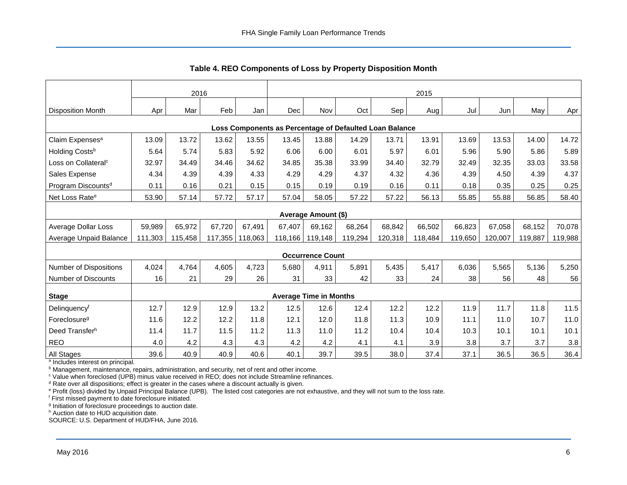<span id="page-6-0"></span>

|                                                         | 2016    |         |         |         | 2015       |                               |         |         |         |         |         |         |         |
|---------------------------------------------------------|---------|---------|---------|---------|------------|-------------------------------|---------|---------|---------|---------|---------|---------|---------|
| <b>Disposition Month</b>                                | Apr     | Mar     | Feb     | Jan     | <b>Dec</b> | Nov                           | Oct     | Sep!    | Aug     | Jul     | Jun     | May     | Apr     |
| Loss Components as Percentage of Defaulted Loan Balance |         |         |         |         |            |                               |         |         |         |         |         |         |         |
| Claim Expenses <sup>a</sup>                             | 13.09   | 13.72   | 13.62   | 13.55   | 13.45      | 13.88                         | 14.29   | 13.71   | 13.91   | 13.69   | 13.53   | 14.00   | 14.72   |
| Holding Costs <sup>b</sup>                              | 5.64    | 5.74    | 5.83    | 5.92    | 6.06       | 6.00                          | 6.01    | 5.97    | 6.01    | 5.96    | 5.90    | 5.86    | 5.89    |
| Loss on Collateral <sup>c</sup>                         | 32.97   | 34.49   | 34.46   | 34.62   | 34.85      | 35.38                         | 33.99   | 34.40   | 32.79   | 32.49   | 32.35   | 33.03   | 33.58   |
| Sales Expense                                           | 4.34    | 4.39    | 4.39    | 4.33    | 4.29       | 4.29                          | 4.37    | 4.32    | 4.36    | 4.39    | 4.50    | 4.39    | 4.37    |
| Program Discounts <sup>d</sup>                          | 0.11    | 0.16    | 0.21    | 0.15    | 0.15       | 0.19                          | 0.19    | 0.16    | 0.11    | 0.18    | 0.35    | 0.25    | 0.25    |
| Net Loss Rate <sup>e</sup>                              | 53.90   | 57.14   | 57.72   | 57.17   | 57.04      | 58.05                         | 57.22   | 57.22   | 56.13   | 55.85   | 55.88   | 56.85   | 58.40   |
|                                                         |         |         |         |         |            | Average Amount (\$)           |         |         |         |         |         |         |         |
| Average Dollar Loss                                     | 59,989  | 65,972  | 67,720  | 67,491  | 67,407     | 69,162                        | 68,264  | 68,842  | 66,502  | 66,823  | 67,058  | 68,152  | 70,078  |
| Average Unpaid Balance                                  | 111,303 | 115,458 | 117,355 | 118,063 | 118,166    | 119,148                       | 119,294 | 120,318 | 118,484 | 119,650 | 120,007 | 119,887 | 119,988 |
|                                                         |         |         |         |         |            | <b>Occurrence Count</b>       |         |         |         |         |         |         |         |
| <b>Number of Dispositions</b>                           | 4,024   | 4,764   | 4,605   | 4,723   | 5,680      | 4,911                         | 5,891   | 5,435   | 5,417   | 6,036   | 5,565   | 5,136   | 5,250   |
| Number of Discounts                                     | 16      | 21      | 29      | 26      | 31         | 33                            | 42      | 33      | 24      | 38      | 56      | 48      | 56      |
| <b>Stage</b>                                            |         |         |         |         |            | <b>Average Time in Months</b> |         |         |         |         |         |         |         |
| Delinquencyf                                            | 12.7    | 12.9    | 12.9    | 13.2    | 12.5       | 12.6                          | 12.4    | 12.2    | 12.2    | 11.9    | 11.7    | 11.8    | 11.5    |
| Foreclosure <sup>g</sup>                                | 11.6    | 12.2    | 12.2    | 11.8    | 12.1       | 12.0                          | 11.8    | 11.3    | 10.9    | 11.1    | 11.0    | 10.7    | 11.0    |
| Deed Transfer <sup>h</sup>                              | 11.4    | 11.7    | 11.5    | 11.2    | 11.3       | 11.0                          | 11.2    | 10.4    | 10.4    | 10.3    | 10.1    | 10.1    | 10.1    |
| <b>REO</b>                                              | 4.0     | 4.2     | 4.3     | 4.3     | 4.2        | 4.2                           | 4.1     | 4.1     | 3.9     | 3.8     | 3.7     | 3.7     | 3.8     |
| All Stages                                              | 39.6    | 40.9    | 40.9    | 40.6    | 40.1       | 39.7                          | 39.5    | 38.0    | 37.4    | 37.1    | 36.5    | 36.5    | 36.4    |

**Table 4. REO Components of Loss by Property Disposition Month** 

<sup>a</sup> Includes interest on principal.

<sup>b</sup> Management, maintenance, repairs, administration, and security, net of rent and other income.

<sup>c</sup> Value when foreclosed (UPB) minus value received in REO; does not include Streamline refinances.

<sup>d</sup> Rate over all dispositions; effect is greater in the cases where a discount actually is given.

e Profit (loss) divided by Unpaid Principal Balance (UPB). The listed cost categories are not exhaustive, and they will not sum to the loss rate.

f First missed payment to date foreclosure initiated.

<sup>g</sup> Initiation of foreclosure proceedings to auction date.

h Auction date to HUD acquisition date.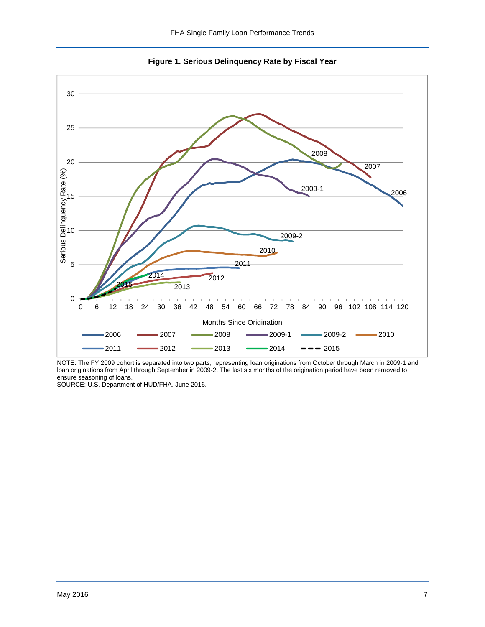<span id="page-7-0"></span>

<span id="page-7-1"></span>**Figure 1. Serious Delinquency Rate by Fiscal Year** 

NOTE: The FY 2009 cohort is separated into two parts, representing loan originations from October through March in 2009-1 and loan originations from April through September in 2009-2. The last six months of the origination period have been removed to ensure seasoning of loans.